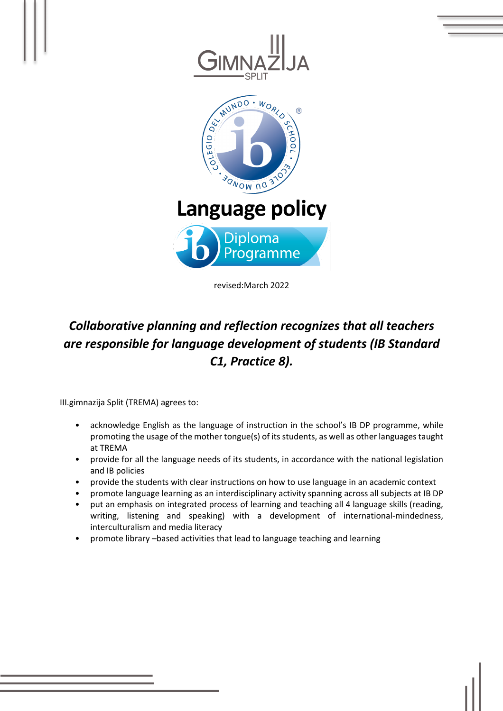

revised:March 2022

# *Collaborative planning and reflection recognizes that all teachers are responsible for language development of students (IB Standard C1, Practice 8).*

III.gimnazija Split (TREMA) agrees to:

- acknowledge English as the language of instruction in the school's IB DP programme, while promoting the usage of the mother tongue(s) of its students, as well as other languages taught at TREMA
- provide for all the language needs of its students, in accordance with the national legislation and IB policies
- provide the students with clear instructions on how to use language in an academic context
- promote language learning as an interdisciplinary activity spanning across all subjects at IB DP
- put an emphasis on integrated process of learning and teaching all 4 language skills (reading, writing, listening and speaking) with a development of international-mindedness, interculturalism and media literacy
- promote library –based activities that lead to language teaching and learning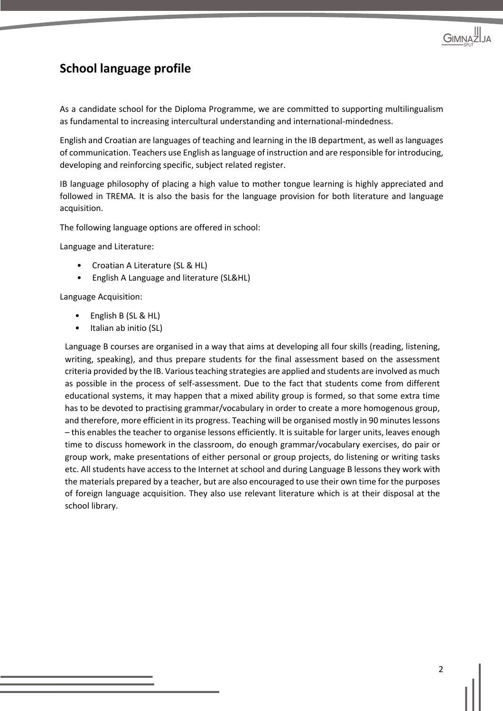

#### **School language profile**

As a candidate school for the Diploma Programme, we are committed to supporting multilingualism as fundamental to increasing intercultural understanding and international-mindedness.

English and Croatian are languages of teaching and learning in the IB department, as well as languages of communication. Teachers use English as language of instruction and are responsible for introducing, developing and reinforcing specific, subject related register.

IB language philosophy of placing a high value to mother tongue learning is highly appreciated and followed in TREMA. It is also the basis for the language provision for both literature and language acquisition.

The following language options are offered in school:

Language and Literature:

- Croatian A Literature (SL & HL)
- English A Language and literature (SL&HL)

Language Acquisition:

- English B (SL & HL)
- Italian ab initio (SL)

Language B courses are organised in a way that aims at developing all four skills (reading, listening, writing, speaking), and thus prepare students for the final assessment based on the assessment criteria provided by the IB. Various teaching strategies are applied and students are involved as much as possible in the process of self-assessment. Due to the fact that students come from different educational systems, it may happen that a mixed ability group is formed, so that some extra time has to be devoted to practising grammar/vocabulary in order to create a more homogenous group, and therefore, more efficient in its progress. Teaching will be organised mostly in 90 minuteslessons – this enables the teacher to organise lessons efficiently. It is suitable for larger units, leaves enough time to discuss homework in the classroom, do enough grammar/vocabulary exercises, do pair or group work, make presentations of either personal or group projects, do listening or writing tasks etc. All students have access to the Internet at school and during Language B lessons they work with the materials prepared by a teacher, but are also encouraged to use their own time for the purposes of foreign language acquisition. They also use relevant literature which is at their disposal at the school library.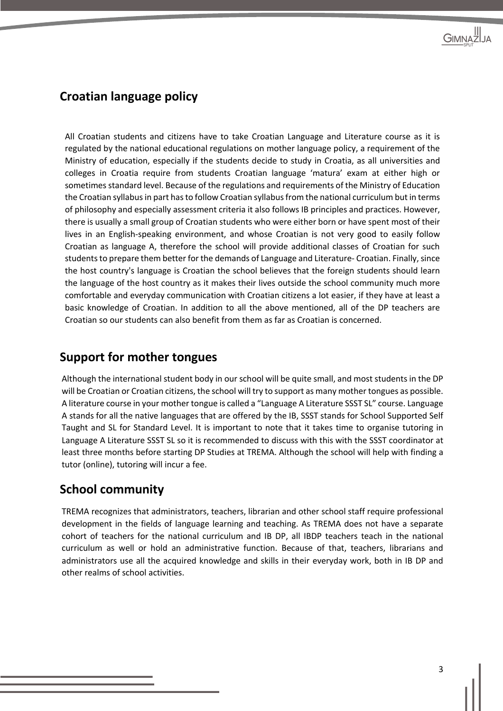#### **Croatian language policy**

All Croatian students and citizens have to take Croatian Language and Literature course as it is regulated by the national educational regulations on mother language policy, a requirement of the Ministry of education, especially if the students decide to study in Croatia, as all universities and colleges in Croatia require from students Croatian language 'matura' exam at either high or sometimes standard level. Because of the regulations and requirements of the Ministry of Education the Croatian syllabus in part has to follow Croatian syllabus from the national curriculum but in terms of philosophy and especially assessment criteria it also follows IB principles and practices. However, there is usually a small group of Croatian students who were either born or have spent most of their lives in an English-speaking environment, and whose Croatian is not very good to easily follow Croatian as language A, therefore the school will provide additional classes of Croatian for such students to prepare them better for the demands of Language and Literature- Croatian. Finally, since the host country's language is Croatian the school believes that the foreign students should learn the language of the host country as it makes their lives outside the school community much more comfortable and everyday communication with Croatian citizens a lot easier, if they have at least a basic knowledge of Croatian. In addition to all the above mentioned, all of the DP teachers are Croatian so our students can also benefit from them as far as Croatian is concerned.

#### **Support for mother tongues**

Although the international student body in our school will be quite small, and most students in the DP will be Croatian or Croatian citizens, the school will try to support as many mother tongues as possible. A literature course in your mother tongue is called a "Language A Literature SSST SL" course. Language A stands for all the native languages that are offered by the IB, SSST stands for School Supported Self Taught and SL for Standard Level. It is important to note that it takes time to organise tutoring in Language A Literature SSST SL so it is recommended to discuss with this with the SSST coordinator at least three months before starting DP Studies at TREMA. Although the school will help with finding a tutor (online), tutoring will incur a fee.

#### **School community**

TREMA recognizes that administrators, teachers, librarian and other school staff require professional development in the fields of language learning and teaching. As TREMA does not have a separate cohort of teachers for the national curriculum and IB DP, all IBDP teachers teach in the national curriculum as well or hold an administrative function. Because of that, teachers, librarians and administrators use all the acquired knowledge and skills in their everyday work, both in IB DP and other realms of school activities.